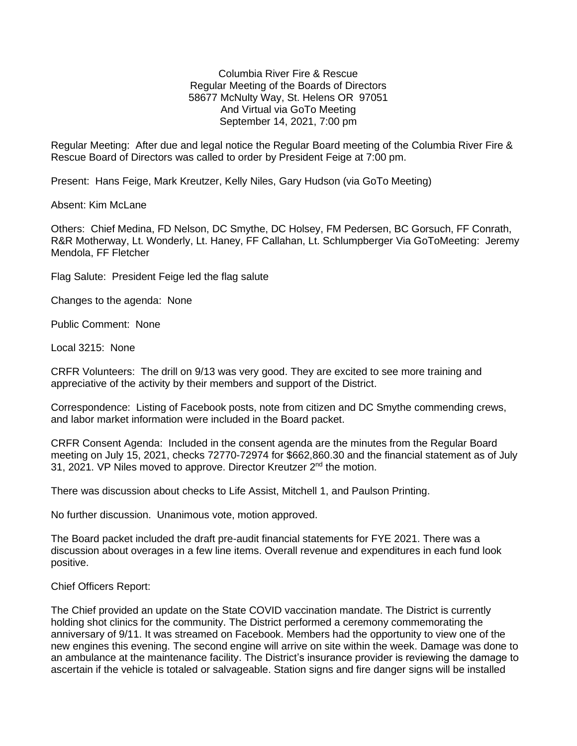Columbia River Fire & Rescue Regular Meeting of the Boards of Directors 58677 McNulty Way, St. Helens OR 97051 And Virtual via GoTo Meeting September 14, 2021, 7:00 pm

Regular Meeting: After due and legal notice the Regular Board meeting of the Columbia River Fire & Rescue Board of Directors was called to order by President Feige at 7:00 pm.

Present: Hans Feige, Mark Kreutzer, Kelly Niles, Gary Hudson (via GoTo Meeting)

Absent: Kim McLane

Others: Chief Medina, FD Nelson, DC Smythe, DC Holsey, FM Pedersen, BC Gorsuch, FF Conrath, R&R Motherway, Lt. Wonderly, Lt. Haney, FF Callahan, Lt. Schlumpberger Via GoToMeeting: Jeremy Mendola, FF Fletcher

Flag Salute: President Feige led the flag salute

Changes to the agenda: None

Public Comment: None

Local 3215: None

CRFR Volunteers: The drill on 9/13 was very good. They are excited to see more training and appreciative of the activity by their members and support of the District.

Correspondence: Listing of Facebook posts, note from citizen and DC Smythe commending crews, and labor market information were included in the Board packet.

CRFR Consent Agenda: Included in the consent agenda are the minutes from the Regular Board meeting on July 15, 2021, checks 72770-72974 for \$662,860.30 and the financial statement as of July 31, 2021. VP Niles moved to approve. Director Kreutzer 2<sup>nd</sup> the motion.

There was discussion about checks to Life Assist, Mitchell 1, and Paulson Printing.

No further discussion. Unanimous vote, motion approved.

The Board packet included the draft pre-audit financial statements for FYE 2021. There was a discussion about overages in a few line items. Overall revenue and expenditures in each fund look positive.

Chief Officers Report:

The Chief provided an update on the State COVID vaccination mandate. The District is currently holding shot clinics for the community. The District performed a ceremony commemorating the anniversary of 9/11. It was streamed on Facebook. Members had the opportunity to view one of the new engines this evening. The second engine will arrive on site within the week. Damage was done to an ambulance at the maintenance facility. The District's insurance provider is reviewing the damage to ascertain if the vehicle is totaled or salvageable. Station signs and fire danger signs will be installed